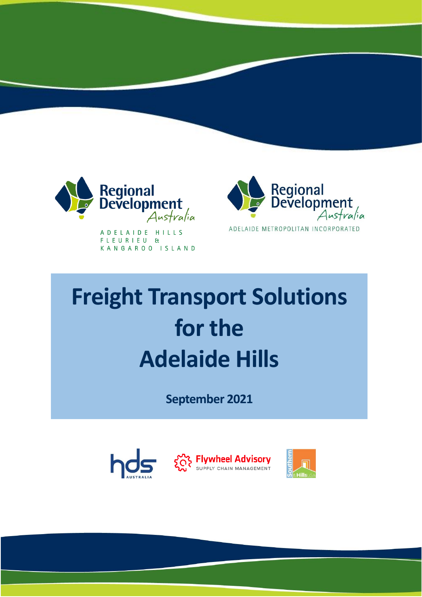

A D E L A I D E H I L L S FLEURIEU & KANGAROO ISLAND



# **Freight Transport Solutions for the Adelaide Hills**

**September 2021**

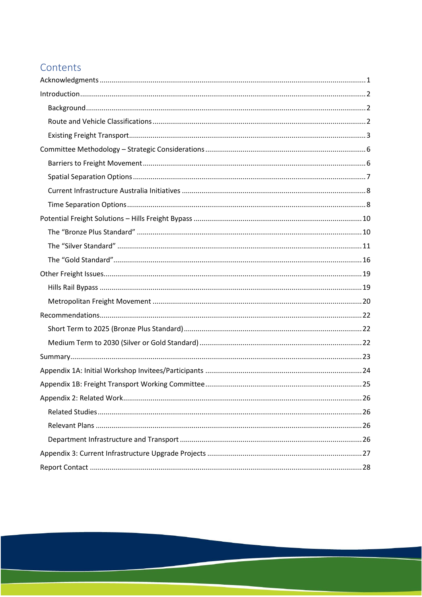## Contents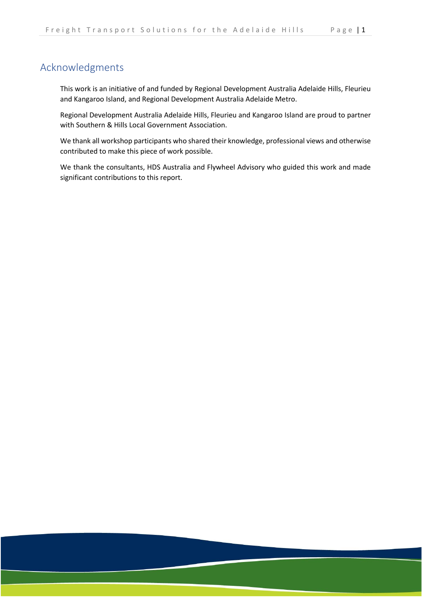## <span id="page-2-0"></span>Acknowledgments

This work is an initiative of and funded by Regional Development Australia Adelaide Hills, Fleurieu and Kangaroo Island, and Regional Development Australia Adelaide Metro.

Regional Development Australia Adelaide Hills, Fleurieu and Kangaroo Island are proud to partner with Southern & Hills Local Government Association.

We thank all workshop participants who shared their knowledge, professional views and otherwise contributed to make this piece of work possible.

We thank the consultants, HDS Australia and Flywheel Advisory who guided this work and made significant contributions to this report.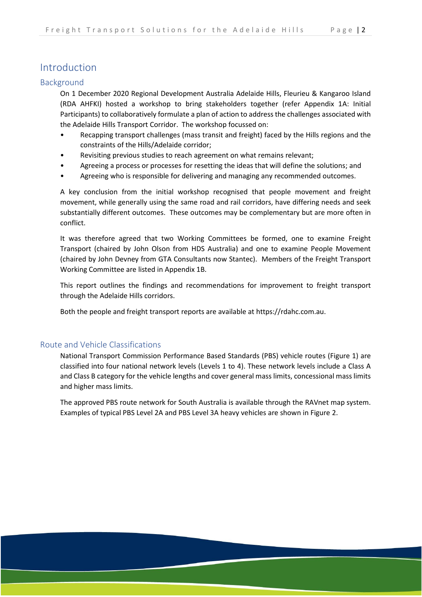## <span id="page-3-0"></span>Introduction

#### <span id="page-3-1"></span>Background

On 1 December 2020 Regional Development Australia Adelaide Hills, Fleurieu & Kangaroo Island (RDA AHFKI) hosted a workshop to bring stakeholders together (refer Appendix 1A: Initial Participants) to collaboratively formulate a plan of action to address the challenges associated with the Adelaide Hills Transport Corridor. The workshop focussed on:

- Recapping transport challenges (mass transit and freight) faced by the Hills regions and the constraints of the Hills/Adelaide corridor;
- Revisiting previous studies to reach agreement on what remains relevant;
- Agreeing a process or processes for resetting the ideas that will define the solutions; and
- Agreeing who is responsible for delivering and managing any recommended outcomes.

A key conclusion from the initial workshop recognised that people movement and freight movement, while generally using the same road and rail corridors, have differing needs and seek substantially different outcomes. These outcomes may be complementary but are more often in conflict.

It was therefore agreed that two Working Committees be formed, one to examine Freight Transport (chaired by John Olson from HDS Australia) and one to examine People Movement (chaired by John Devney from GTA Consultants now Stantec). Members of the Freight Transport Working Committee are listed in Appendix 1B.

This report outlines the findings and recommendations for improvement to freight transport through the Adelaide Hills corridors.

Both the people and freight transport reports are available at https://rdahc.com.au.

#### <span id="page-3-2"></span>Route and Vehicle Classifications

National Transport Commission Performance Based Standards (PBS) vehicle routes (Figure 1) are classified into four national network levels (Levels 1 to 4). These network levels include a Class A and Class B category for the vehicle lengths and cover general mass limits, concessional mass limits and higher mass limits.

The approved PBS route network for South Australia is available through the RAVnet map system. Examples of typical PBS Level 2A and PBS Level 3A heavy vehicles are shown in Figure 2.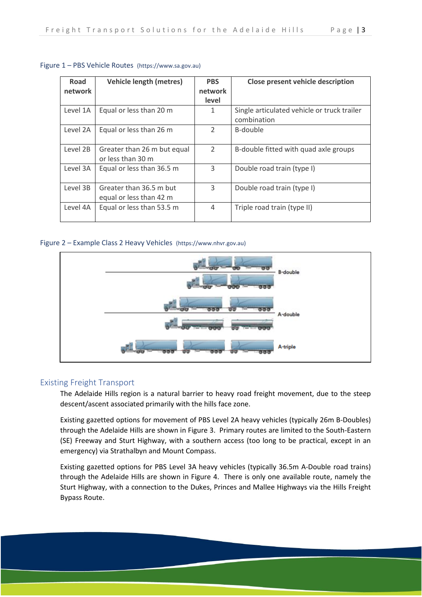| Road     | <b>Vehicle length (metres)</b> | <b>PBS</b>     | Close present vehicle description           |
|----------|--------------------------------|----------------|---------------------------------------------|
| network  |                                | network        |                                             |
|          |                                | level          |                                             |
| Level 1A | Equal or less than 20 m        | 1              | Single articulated vehicle or truck trailer |
|          |                                |                | combination                                 |
| Level 2A | Equal or less than 26 m        | $\mathcal{P}$  | B-double                                    |
|          |                                |                |                                             |
| Level 2B | Greater than 26 m but equal    | $\overline{2}$ | B-double fitted with quad axle groups       |
|          | or less than 30 m              |                |                                             |
| Level 3A | Equal or less than 36.5 m      | 3              | Double road train (type I)                  |
|          |                                |                |                                             |
| Level 3B | Greater than 36.5 m but        | 3              | Double road train (type I)                  |
|          | equal or less than 42 m        |                |                                             |
| Level 4A | Equal or less than 53.5 m      | 4              | Triple road train (type II)                 |
|          |                                |                |                                             |

#### Figure 1 – PBS Vehicle Routes (https://www.sa.gov.au)

#### Figure 2 – Example Class 2 Heavy Vehicles (https://www.nhvr.gov.au)



#### <span id="page-4-0"></span>Existing Freight Transport

The Adelaide Hills region is a natural barrier to heavy road freight movement, due to the steep descent/ascent associated primarily with the hills face zone.

Existing gazetted options for movement of PBS Level 2A heavy vehicles (typically 26m B-Doubles) through the Adelaide Hills are shown in Figure 3. Primary routes are limited to the South-Eastern (SE) Freeway and Sturt Highway, with a southern access (too long to be practical, except in an emergency) via Strathalbyn and Mount Compass.

Existing gazetted options for PBS Level 3A heavy vehicles (typically 36.5m A-Double road trains) through the Adelaide Hills are shown in Figure 4. There is only one available route, namely the Sturt Highway, with a connection to the Dukes, Princes and Mallee Highways via the Hills Freight Bypass Route.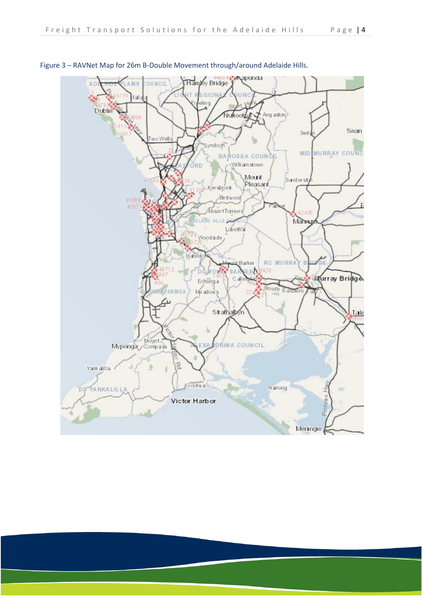

Figure 3 – RAVNet Map for 26m B-Double Movement through/around Adelaide Hills.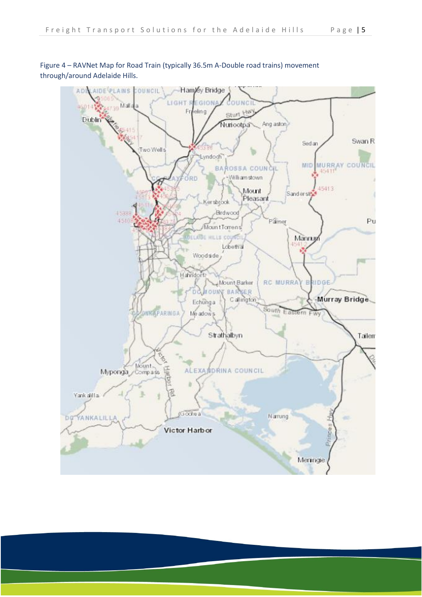

Figure 4 – RAVNet Map for Road Train (typically 36.5m A-Double road trains) movement through/around Adelaide Hills.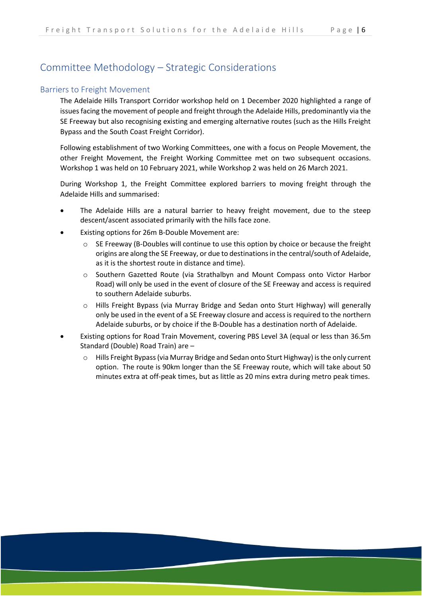## <span id="page-7-0"></span>Committee Methodology – Strategic Considerations

#### <span id="page-7-1"></span>Barriers to Freight Movement

The Adelaide Hills Transport Corridor workshop held on 1 December 2020 highlighted a range of issues facing the movement of people and freight through the Adelaide Hills, predominantly via the SE Freeway but also recognising existing and emerging alternative routes (such as the Hills Freight Bypass and the South Coast Freight Corridor).

Following establishment of two Working Committees, one with a focus on People Movement, the other Freight Movement, the Freight Working Committee met on two subsequent occasions. Workshop 1 was held on 10 February 2021, while Workshop 2 was held on 26 March 2021.

During Workshop 1, the Freight Committee explored barriers to moving freight through the Adelaide Hills and summarised:

- The Adelaide Hills are a natural barrier to heavy freight movement, due to the steep descent/ascent associated primarily with the hills face zone.
- Existing options for 26m B-Double Movement are:
	- $\circ$  SE Freeway (B-Doubles will continue to use this option by choice or because the freight origins are along the SE Freeway, or due to destinations in the central/south of Adelaide, as it is the shortest route in distance and time).
	- o Southern Gazetted Route (via Strathalbyn and Mount Compass onto Victor Harbor Road) will only be used in the event of closure of the SE Freeway and access is required to southern Adelaide suburbs.
	- o Hills Freight Bypass (via Murray Bridge and Sedan onto Sturt Highway) will generally only be used in the event of a SE Freeway closure and access is required to the northern Adelaide suburbs, or by choice if the B-Double has a destination north of Adelaide.
- Existing options for Road Train Movement, covering PBS Level 3A (equal or less than 36.5m Standard (Double) Road Train) are –
	- Hills Freight Bypass (via Murray Bridge and Sedan onto Sturt Highway) is the only current option. The route is 90km longer than the SE Freeway route, which will take about 50 minutes extra at off-peak times, but as little as 20 mins extra during metro peak times.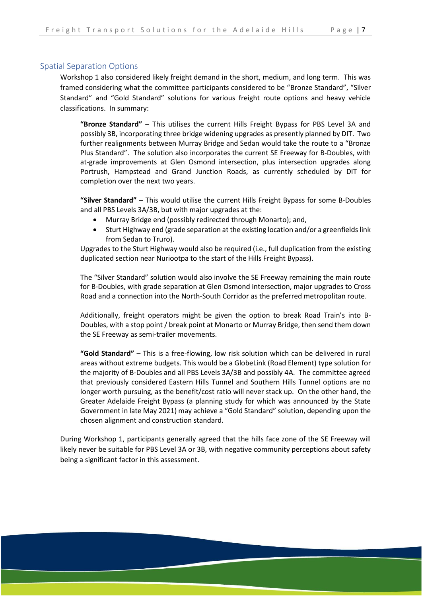#### <span id="page-8-0"></span>Spatial Separation Options

Workshop 1 also considered likely freight demand in the short, medium, and long term. This was framed considering what the committee participants considered to be "Bronze Standard", "Silver Standard" and "Gold Standard" solutions for various freight route options and heavy vehicle classifications. In summary:

**"Bronze Standard"** – This utilises the current Hills Freight Bypass for PBS Level 3A and possibly 3B, incorporating three bridge widening upgrades as presently planned by DIT. Two further realignments between Murray Bridge and Sedan would take the route to a "Bronze Plus Standard". The solution also incorporates the current SE Freeway for B-Doubles, with at-grade improvements at Glen Osmond intersection, plus intersection upgrades along Portrush, Hampstead and Grand Junction Roads, as currently scheduled by DIT for completion over the next two years.

**"Silver Standard"** – This would utilise the current Hills Freight Bypass for some B-Doubles and all PBS Levels 3A/3B, but with major upgrades at the:

- Murray Bridge end (possibly redirected through Monarto); and,
- Sturt Highway end (grade separation at the existing location and/or a greenfields link from Sedan to Truro).

Upgrades to the Sturt Highway would also be required (i.e., full duplication from the existing duplicated section near Nuriootpa to the start of the Hills Freight Bypass).

The "Silver Standard" solution would also involve the SE Freeway remaining the main route for B-Doubles, with grade separation at Glen Osmond intersection, major upgrades to Cross Road and a connection into the North-South Corridor as the preferred metropolitan route.

Additionally, freight operators might be given the option to break Road Train's into B-Doubles, with a stop point / break point at Monarto or Murray Bridge, then send them down the SE Freeway as semi-trailer movements.

**"Gold Standard"** – This is a free-flowing, low risk solution which can be delivered in rural areas without extreme budgets. This would be a GlobeLink (Road Element) type solution for the majority of B-Doubles and all PBS Levels 3A/3B and possibly 4A. The committee agreed that previously considered Eastern Hills Tunnel and Southern Hills Tunnel options are no longer worth pursuing, as the benefit/cost ratio will never stack up. On the other hand, the Greater Adelaide Freight Bypass (a planning study for which was announced by the State Government in late May 2021) may achieve a "Gold Standard" solution, depending upon the chosen alignment and construction standard.

During Workshop 1, participants generally agreed that the hills face zone of the SE Freeway will likely never be suitable for PBS Level 3A or 3B, with negative community perceptions about safety being a significant factor in this assessment.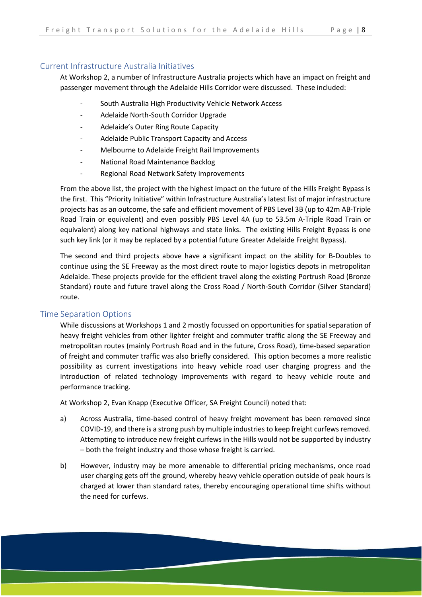#### <span id="page-9-0"></span>Current Infrastructure Australia Initiatives

At Workshop 2, a number of Infrastructure Australia projects which have an impact on freight and passenger movement through the Adelaide Hills Corridor were discussed. These included:

- South Australia High Productivity Vehicle Network Access
- Adelaide North-South Corridor Upgrade
- Adelaide's Outer Ring Route Capacity
- Adelaide Public Transport Capacity and Access
- Melbourne to Adelaide Freight Rail Improvements
- National Road Maintenance Backlog
- Regional Road Network Safety Improvements

From the above list, the project with the highest impact on the future of the Hills Freight Bypass is the first. This "Priority Initiative" within Infrastructure Australia's latest list of major infrastructure projects has as an outcome, the safe and efficient movement of PBS Level 3B (up to 42m AB-Triple Road Train or equivalent) and even possibly PBS Level 4A (up to 53.5m A-Triple Road Train or equivalent) along key national highways and state links. The existing Hills Freight Bypass is one such key link (or it may be replaced by a potential future Greater Adelaide Freight Bypass).

The second and third projects above have a significant impact on the ability for B-Doubles to continue using the SE Freeway as the most direct route to major logistics depots in metropolitan Adelaide. These projects provide for the efficient travel along the existing Portrush Road (Bronze Standard) route and future travel along the Cross Road / North-South Corridor (Silver Standard) route.

#### <span id="page-9-1"></span>Time Separation Options

While discussions at Workshops 1 and 2 mostly focussed on opportunities for spatial separation of heavy freight vehicles from other lighter freight and commuter traffic along the SE Freeway and metropolitan routes (mainly Portrush Road and in the future, Cross Road), time-based separation of freight and commuter traffic was also briefly considered. This option becomes a more realistic possibility as current investigations into heavy vehicle road user charging progress and the introduction of related technology improvements with regard to heavy vehicle route and performance tracking.

At Workshop 2, Evan Knapp (Executive Officer, SA Freight Council) noted that:

- a) Across Australia, time-based control of heavy freight movement has been removed since COVID-19, and there is a strong push by multiple industries to keep freight curfews removed. Attempting to introduce new freight curfews in the Hills would not be supported by industry – both the freight industry and those whose freight is carried.
- b) However, industry may be more amenable to differential pricing mechanisms, once road user charging gets off the ground, whereby heavy vehicle operation outside of peak hours is charged at lower than standard rates, thereby encouraging operational time shifts without the need for curfews.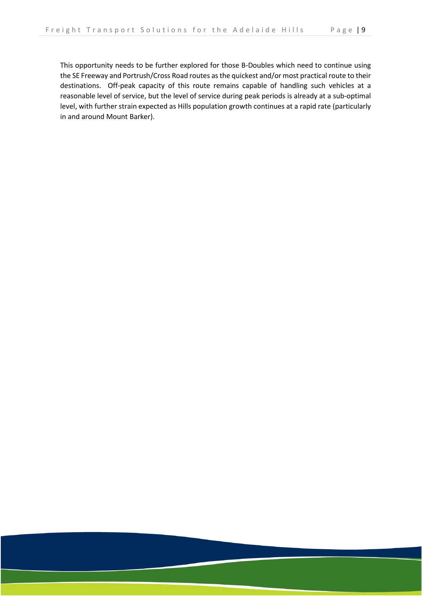This opportunity needs to be further explored for those B-Doubles which need to continue using the SE Freeway and Portrush/Cross Road routes as the quickest and/or most practical route to their destinations. Off-peak capacity of this route remains capable of handling such vehicles at a reasonable level of service, but the level of service during peak periods is already at a sub-optimal level, with further strain expected as Hills population growth continues at a rapid rate (particularly in and around Mount Barker).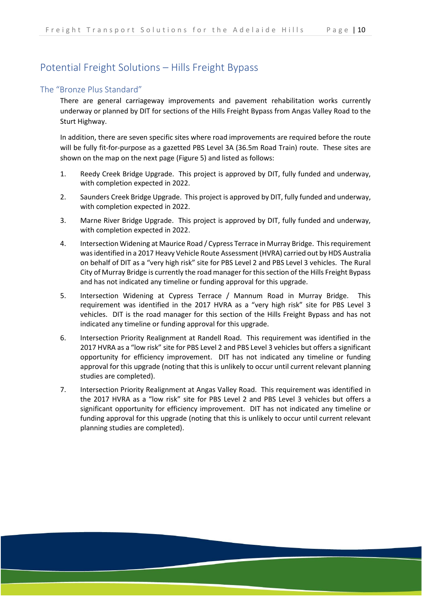## <span id="page-11-0"></span>Potential Freight Solutions – Hills Freight Bypass

#### <span id="page-11-1"></span>The "Bronze Plus Standard"

There are general carriageway improvements and pavement rehabilitation works currently underway or planned by DIT for sections of the Hills Freight Bypass from Angas Valley Road to the Sturt Highway.

In addition, there are seven specific sites where road improvements are required before the route will be fully fit-for-purpose as a gazetted PBS Level 3A (36.5m Road Train) route. These sites are shown on the map on the next page (Figure 5) and listed as follows:

- 1. Reedy Creek Bridge Upgrade. This project is approved by DIT, fully funded and underway, with completion expected in 2022.
- 2. Saunders Creek Bridge Upgrade. This project is approved by DIT, fully funded and underway, with completion expected in 2022.
- 3. Marne River Bridge Upgrade. This project is approved by DIT, fully funded and underway, with completion expected in 2022.
- 4. Intersection Widening at Maurice Road / Cypress Terrace in Murray Bridge. This requirement was identified in a 2017 Heavy Vehicle Route Assessment (HVRA) carried out by HDS Australia on behalf of DIT as a "very high risk" site for PBS Level 2 and PBS Level 3 vehicles. The Rural City of Murray Bridge is currently the road manager for this section of the Hills Freight Bypass and has not indicated any timeline or funding approval for this upgrade.
- 5. Intersection Widening at Cypress Terrace / Mannum Road in Murray Bridge. This requirement was identified in the 2017 HVRA as a "very high risk" site for PBS Level 3 vehicles. DIT is the road manager for this section of the Hills Freight Bypass and has not indicated any timeline or funding approval for this upgrade.
- 6. Intersection Priority Realignment at Randell Road. This requirement was identified in the 2017 HVRA as a "low risk" site for PBS Level 2 and PBS Level 3 vehicles but offers a significant opportunity for efficiency improvement. DIT has not indicated any timeline or funding approval for this upgrade (noting that this is unlikely to occur until current relevant planning studies are completed).
- 7. Intersection Priority Realignment at Angas Valley Road. This requirement was identified in the 2017 HVRA as a "low risk" site for PBS Level 2 and PBS Level 3 vehicles but offers a significant opportunity for efficiency improvement. DIT has not indicated any timeline or funding approval for this upgrade (noting that this is unlikely to occur until current relevant planning studies are completed).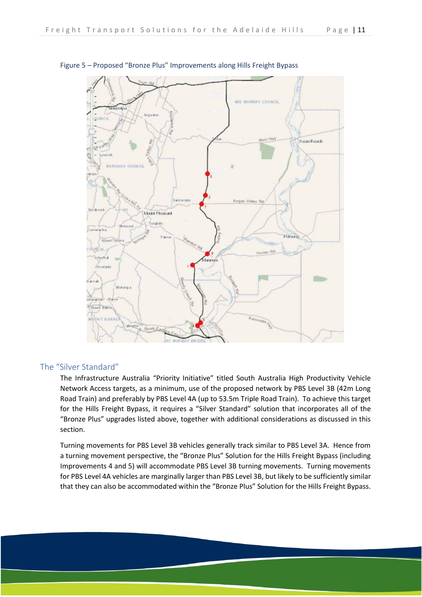

#### Figure 5 – Proposed "Bronze Plus" Improvements along Hills Freight Bypass

#### <span id="page-12-0"></span>The "Silver Standard"

The Infrastructure Australia "Priority Initiative" titled South Australia High Productivity Vehicle Network Access targets, as a minimum, use of the proposed network by PBS Level 3B (42m Long Road Train) and preferably by PBS Level 4A (up to 53.5m Triple Road Train). To achieve this target for the Hills Freight Bypass, it requires a "Silver Standard" solution that incorporates all of the "Bronze Plus" upgrades listed above, together with additional considerations as discussed in this section.

Turning movements for PBS Level 3B vehicles generally track similar to PBS Level 3A. Hence from a turning movement perspective, the "Bronze Plus" Solution for the Hills Freight Bypass (including Improvements 4 and 5) will accommodate PBS Level 3B turning movements. Turning movements for PBS Level 4A vehicles are marginally larger than PBS Level 3B, but likely to be sufficiently similar that they can also be accommodated within the "Bronze Plus" Solution for the Hills Freight Bypass.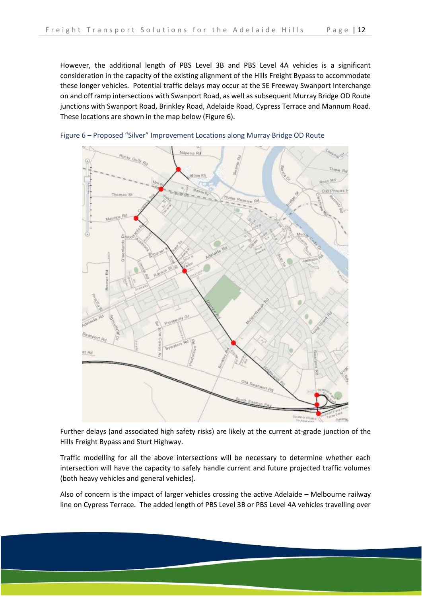However, the additional length of PBS Level 3B and PBS Level 4A vehicles is a significant consideration in the capacity of the existing alignment of the Hills Freight Bypass to accommodate these longer vehicles. Potential traffic delays may occur at the SE Freeway Swanport Interchange on and off ramp intersections with Swanport Road, as well as subsequent Murray Bridge OD Route junctions with Swanport Road, Brinkley Road, Adelaide Road, Cypress Terrace and Mannum Road. These locations are shown in the map below (Figure 6).



Figure 6 – Proposed "Silver" Improvement Locations along Murray Bridge OD Route

Further delays (and associated high safety risks) are likely at the current at-grade junction of the Hills Freight Bypass and Sturt Highway.

Traffic modelling for all the above intersections will be necessary to determine whether each intersection will have the capacity to safely handle current and future projected traffic volumes (both heavy vehicles and general vehicles).

Also of concern is the impact of larger vehicles crossing the active Adelaide – Melbourne railway line on Cypress Terrace. The added length of PBS Level 3B or PBS Level 4A vehicles travelling over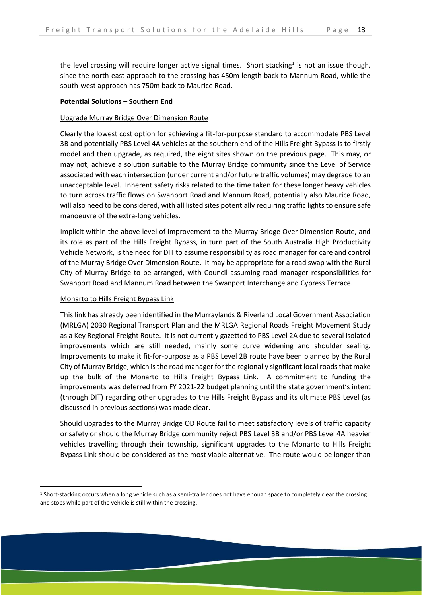the level crossing will require longer active signal times. Short stacking<sup>1</sup> is not an issue though, since the north-east approach to the crossing has 450m length back to Mannum Road, while the south-west approach has 750m back to Maurice Road.

#### **Potential Solutions – Southern End**

#### Upgrade Murray Bridge Over Dimension Route

Clearly the lowest cost option for achieving a fit-for-purpose standard to accommodate PBS Level 3B and potentially PBS Level 4A vehicles at the southern end of the Hills Freight Bypass is to firstly model and then upgrade, as required, the eight sites shown on the previous page. This may, or may not, achieve a solution suitable to the Murray Bridge community since the Level of Service associated with each intersection (under current and/or future traffic volumes) may degrade to an unacceptable level. Inherent safety risks related to the time taken for these longer heavy vehicles to turn across traffic flows on Swanport Road and Mannum Road, potentially also Maurice Road, will also need to be considered, with all listed sites potentially requiring traffic lights to ensure safe manoeuvre of the extra-long vehicles.

Implicit within the above level of improvement to the Murray Bridge Over Dimension Route, and its role as part of the Hills Freight Bypass, in turn part of the South Australia High Productivity Vehicle Network, is the need for DIT to assume responsibility as road manager for care and control of the Murray Bridge Over Dimension Route. It may be appropriate for a road swap with the Rural City of Murray Bridge to be arranged, with Council assuming road manager responsibilities for Swanport Road and Mannum Road between the Swanport Interchange and Cypress Terrace.

#### Monarto to Hills Freight Bypass Link

This link has already been identified in the Murraylands & Riverland Local Government Association (MRLGA) 2030 Regional Transport Plan and the MRLGA Regional Roads Freight Movement Study as a Key Regional Freight Route. It is not currently gazetted to PBS Level 2A due to several isolated improvements which are still needed, mainly some curve widening and shoulder sealing. Improvements to make it fit-for-purpose as a PBS Level 2B route have been planned by the Rural City of Murray Bridge, which is the road manager for the regionally significant local roads that make up the bulk of the Monarto to Hills Freight Bypass Link. A commitment to funding the improvements was deferred from FY 2021-22 budget planning until the state government's intent (through DIT) regarding other upgrades to the Hills Freight Bypass and its ultimate PBS Level (as discussed in previous sections) was made clear.

Should upgrades to the Murray Bridge OD Route fail to meet satisfactory levels of traffic capacity or safety or should the Murray Bridge community reject PBS Level 3B and/or PBS Level 4A heavier vehicles travelling through their township, significant upgrades to the Monarto to Hills Freight Bypass Link should be considered as the most viable alternative. The route would be longer than

<sup>&</sup>lt;sup>1</sup> Short-stacking occurs when a long vehicle such as a semi-trailer does not have enough space to completely clear the crossing and stops while part of the vehicle is still within the crossing.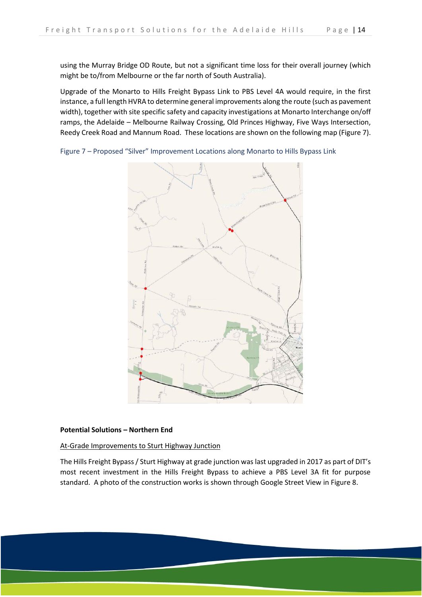using the Murray Bridge OD Route, but not a significant time loss for their overall journey (which might be to/from Melbourne or the far north of South Australia).

Upgrade of the Monarto to Hills Freight Bypass Link to PBS Level 4A would require, in the first instance, a full length HVRA to determine general improvements along the route (such as pavement width), together with site specific safety and capacity investigations at Monarto Interchange on/off ramps, the Adelaide – Melbourne Railway Crossing, Old Princes Highway, Five Ways Intersection, Reedy Creek Road and Mannum Road. These locations are shown on the following map (Figure 7).

Figure 7 – Proposed "Silver" Improvement Locations along Monarto to Hills Bypass Link



#### **Potential Solutions – Northern End**

At-Grade Improvements to Sturt Highway Junction

The Hills Freight Bypass / Sturt Highway at grade junction was last upgraded in 2017 as part of DIT's most recent investment in the Hills Freight Bypass to achieve a PBS Level 3A fit for purpose standard. A photo of the construction works is shown through Google Street View in Figure 8.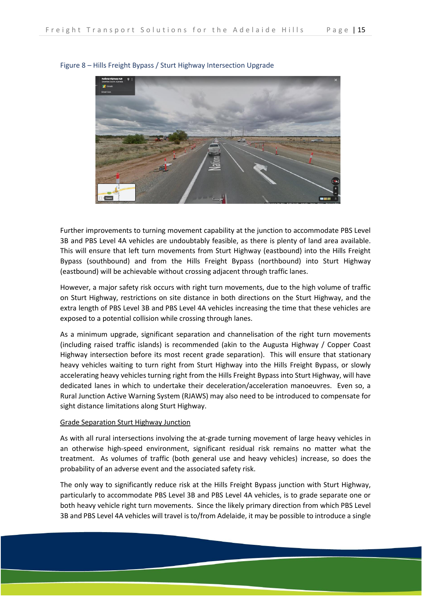

#### Figure 8 – Hills Freight Bypass / Sturt Highway Intersection Upgrade

Further improvements to turning movement capability at the junction to accommodate PBS Level 3B and PBS Level 4A vehicles are undoubtably feasible, as there is plenty of land area available. This will ensure that left turn movements from Sturt Highway (eastbound) into the Hills Freight Bypass (southbound) and from the Hills Freight Bypass (northbound) into Sturt Highway (eastbound) will be achievable without crossing adjacent through traffic lanes.

However, a major safety risk occurs with right turn movements, due to the high volume of traffic on Sturt Highway, restrictions on site distance in both directions on the Sturt Highway, and the extra length of PBS Level 3B and PBS Level 4A vehicles increasing the time that these vehicles are exposed to a potential collision while crossing through lanes.

As a minimum upgrade, significant separation and channelisation of the right turn movements (including raised traffic islands) is recommended (akin to the Augusta Highway / Copper Coast Highway intersection before its most recent grade separation). This will ensure that stationary heavy vehicles waiting to turn right from Sturt Highway into the Hills Freight Bypass, or slowly accelerating heavy vehicles turning right from the Hills Freight Bypass into Sturt Highway, will have dedicated lanes in which to undertake their deceleration/acceleration manoeuvres. Even so, a Rural Junction Active Warning System (RJAWS) may also need to be introduced to compensate for sight distance limitations along Sturt Highway.

#### Grade Separation Sturt Highway Junction

As with all rural intersections involving the at-grade turning movement of large heavy vehicles in an otherwise high-speed environment, significant residual risk remains no matter what the treatment. As volumes of traffic (both general use and heavy vehicles) increase, so does the probability of an adverse event and the associated safety risk.

The only way to significantly reduce risk at the Hills Freight Bypass junction with Sturt Highway, particularly to accommodate PBS Level 3B and PBS Level 4A vehicles, is to grade separate one or both heavy vehicle right turn movements. Since the likely primary direction from which PBS Level 3B and PBS Level 4A vehicles will travel is to/from Adelaide, it may be possible to introduce a single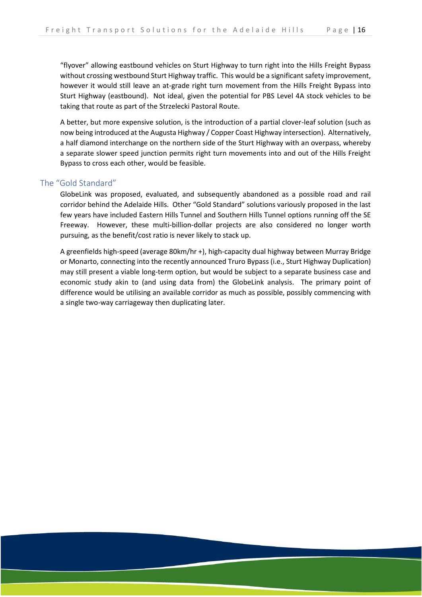"flyover" allowing eastbound vehicles on Sturt Highway to turn right into the Hills Freight Bypass without crossing westbound Sturt Highway traffic. This would be a significant safety improvement, however it would still leave an at-grade right turn movement from the Hills Freight Bypass into Sturt Highway (eastbound). Not ideal, given the potential for PBS Level 4A stock vehicles to be taking that route as part of the Strzelecki Pastoral Route.

A better, but more expensive solution, is the introduction of a partial clover-leaf solution (such as now being introduced at the Augusta Highway / Copper Coast Highway intersection). Alternatively, a half diamond interchange on the northern side of the Sturt Highway with an overpass, whereby a separate slower speed junction permits right turn movements into and out of the Hills Freight Bypass to cross each other, would be feasible.

#### <span id="page-17-0"></span>The "Gold Standard"

GlobeLink was proposed, evaluated, and subsequently abandoned as a possible road and rail corridor behind the Adelaide Hills. Other "Gold Standard" solutions variously proposed in the last few years have included Eastern Hills Tunnel and Southern Hills Tunnel options running off the SE Freeway. However, these multi-billion-dollar projects are also considered no longer worth pursuing, as the benefit/cost ratio is never likely to stack up.

A greenfields high-speed (average 80km/hr +), high-capacity dual highway between Murray Bridge or Monarto, connecting into the recently announced Truro Bypass (i.e., Sturt Highway Duplication) may still present a viable long-term option, but would be subject to a separate business case and economic study akin to (and using data from) the GlobeLink analysis. The primary point of difference would be utilising an available corridor as much as possible, possibly commencing with a single two-way carriageway then duplicating later.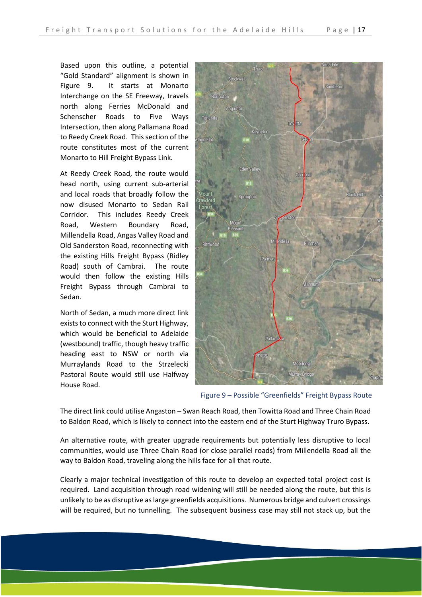Based upon this outline, a potential "Gold Standard" alignment is shown in Figure 9. It starts at Monarto Interchange on the SE Freeway, travels north along Ferries McDonald and Schenscher Roads to Five Ways Intersection, then along Pallamana Road to Reedy Creek Road. This section of the route constitutes most of the current Monarto to Hill Freight Bypass Link.

At Reedy Creek Road, the route would head north, using current sub-arterial and local roads that broadly follow the now disused Monarto to Sedan Rail Corridor. This includes Reedy Creek Road, Western Boundary Road, Millendella Road, Angas Valley Road and Old Sanderston Road, reconnecting with the existing Hills Freight Bypass (Ridley Road) south of Cambrai. The route would then follow the existing Hills Freight Bypass through Cambrai to Sedan.

North of Sedan, a much more direct link exists to connect with the Sturt Highway, which would be beneficial to Adelaide (westbound) traffic, though heavy traffic heading east to NSW or north via Murraylands Road to the Strzelecki Pastoral Route would still use Halfway House Road.



Figure 9 – Possible "Greenfields" Freight Bypass Route

The direct link could utilise Angaston – Swan Reach Road, then Towitta Road and Three Chain Road to Baldon Road, which is likely to connect into the eastern end of the Sturt Highway Truro Bypass.

An alternative route, with greater upgrade requirements but potentially less disruptive to local communities, would use Three Chain Road (or close parallel roads) from Millendella Road all the way to Baldon Road, traveling along the hills face for all that route.

Clearly a major technical investigation of this route to develop an expected total project cost is required. Land acquisition through road widening will still be needed along the route, but this is unlikely to be as disruptive as large greenfields acquisitions. Numerous bridge and culvert crossings will be required, but no tunnelling. The subsequent business case may still not stack up, but the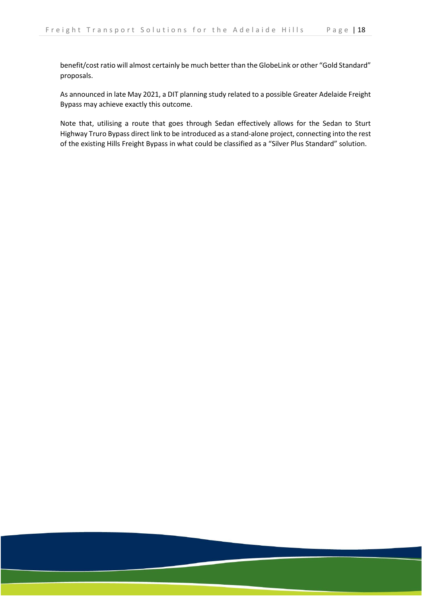benefit/cost ratio will almost certainly be much better than the GlobeLink or other "Gold Standard" proposals.

As announced in late May 2021, a DIT planning study related to a possible Greater Adelaide Freight Bypass may achieve exactly this outcome.

Note that, utilising a route that goes through Sedan effectively allows for the Sedan to Sturt Highway Truro Bypass direct link to be introduced as a stand-alone project, connecting into the rest of the existing Hills Freight Bypass in what could be classified as a "Silver Plus Standard" solution.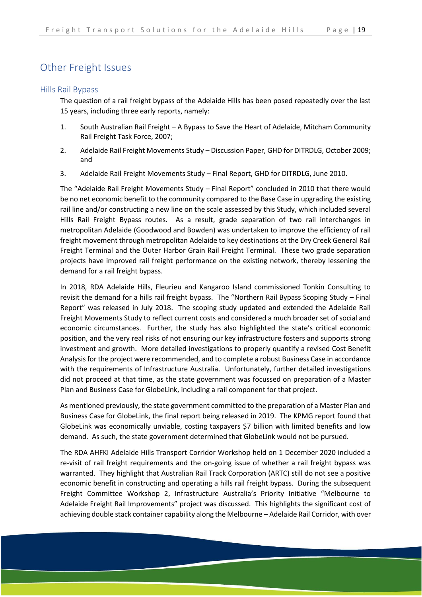## <span id="page-20-0"></span>Other Freight Issues

#### <span id="page-20-1"></span>Hills Rail Bypass

The question of a rail freight bypass of the Adelaide Hills has been posed repeatedly over the last 15 years, including three early reports, namely:

- 1. South Australian Rail Freight A Bypass to Save the Heart of Adelaide, Mitcham Community Rail Freight Task Force, 2007;
- 2. Adelaide Rail Freight Movements Study Discussion Paper, GHD for DITRDLG, October 2009; and
- 3. Adelaide Rail Freight Movements Study Final Report, GHD for DITRDLG, June 2010.

The "Adelaide Rail Freight Movements Study – Final Report" concluded in 2010 that there would be no net economic benefit to the community compared to the Base Case in upgrading the existing rail line and/or constructing a new line on the scale assessed by this Study, which included several Hills Rail Freight Bypass routes. As a result, grade separation of two rail interchanges in metropolitan Adelaide (Goodwood and Bowden) was undertaken to improve the efficiency of rail freight movement through metropolitan Adelaide to key destinations at the Dry Creek General Rail Freight Terminal and the Outer Harbor Grain Rail Freight Terminal. These two grade separation projects have improved rail freight performance on the existing network, thereby lessening the demand for a rail freight bypass.

In 2018, RDA Adelaide Hills, Fleurieu and Kangaroo Island commissioned Tonkin Consulting to revisit the demand for a hills rail freight bypass. The "Northern Rail Bypass Scoping Study – Final Report" was released in July 2018. The scoping study updated and extended the Adelaide Rail Freight Movements Study to reflect current costs and considered a much broader set of social and economic circumstances. Further, the study has also highlighted the state's critical economic position, and the very real risks of not ensuring our key infrastructure fosters and supports strong investment and growth. More detailed investigations to properly quantify a revised Cost Benefit Analysis for the project were recommended, and to complete a robust Business Case in accordance with the requirements of Infrastructure Australia. Unfortunately, further detailed investigations did not proceed at that time, as the state government was focussed on preparation of a Master Plan and Business Case for GlobeLink, including a rail component for that project.

As mentioned previously, the state government committed to the preparation of a Master Plan and Business Case for GlobeLink, the final report being released in 2019. The KPMG report found that GlobeLink was economically unviable, costing taxpayers \$7 billion with limited benefits and low demand. As such, the state government determined that GlobeLink would not be pursued.

The RDA AHFKI Adelaide Hills Transport Corridor Workshop held on 1 December 2020 included a re-visit of rail freight requirements and the on-going issue of whether a rail freight bypass was warranted. They highlight that Australian Rail Track Corporation (ARTC) still do not see a positive economic benefit in constructing and operating a hills rail freight bypass. During the subsequent Freight Committee Workshop 2, Infrastructure Australia's Priority Initiative "Melbourne to Adelaide Freight Rail Improvements" project was discussed. This highlights the significant cost of achieving double stack container capability along the Melbourne – Adelaide Rail Corridor, with over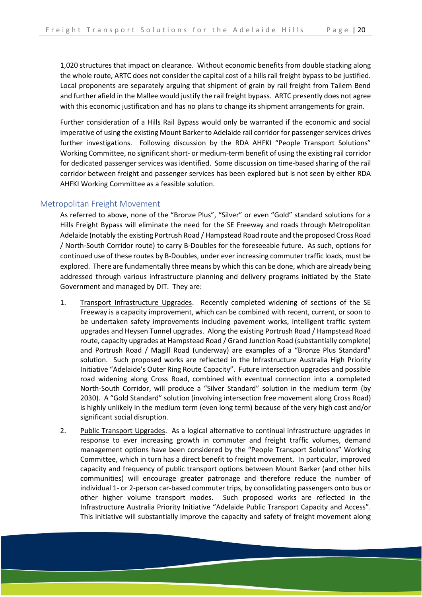1,020 structures that impact on clearance. Without economic benefits from double stacking along the whole route, ARTC does not consider the capital cost of a hills rail freight bypass to be justified. Local proponents are separately arguing that shipment of grain by rail freight from Tailem Bend and further afield in the Mallee would justify the rail freight bypass. ARTC presently does not agree with this economic justification and has no plans to change its shipment arrangements for grain.

Further consideration of a Hills Rail Bypass would only be warranted if the economic and social imperative of using the existing Mount Barker to Adelaide rail corridor for passenger services drives further investigations. Following discussion by the RDA AHFKI "People Transport Solutions" Working Committee, no significant short- or medium-term benefit of using the existing rail corridor for dedicated passenger services was identified. Some discussion on time-based sharing of the rail corridor between freight and passenger services has been explored but is not seen by either RDA AHFKI Working Committee as a feasible solution.

#### <span id="page-21-0"></span>Metropolitan Freight Movement

As referred to above, none of the "Bronze Plus", "Silver" or even "Gold" standard solutions for a Hills Freight Bypass will eliminate the need for the SE Freeway and roads through Metropolitan Adelaide (notably the existing Portrush Road / Hampstead Road route and the proposed Cross Road / North-South Corridor route) to carry B-Doubles for the foreseeable future. As such, options for continued use of these routes by B-Doubles, under ever increasing commuter traffic loads, must be explored. There are fundamentally three means by which this can be done, which are already being addressed through various infrastructure planning and delivery programs initiated by the State Government and managed by DIT. They are:

- 1. Transport Infrastructure Upgrades. Recently completed widening of sections of the SE Freeway is a capacity improvement, which can be combined with recent, current, or soon to be undertaken safety improvements including pavement works, intelligent traffic system upgrades and Heysen Tunnel upgrades. Along the existing Portrush Road / Hampstead Road route, capacity upgrades at Hampstead Road / Grand Junction Road (substantially complete) and Portrush Road / Magill Road (underway) are examples of a "Bronze Plus Standard" solution. Such proposed works are reflected in the Infrastructure Australia High Priority Initiative "Adelaide's Outer Ring Route Capacity". Future intersection upgrades and possible road widening along Cross Road, combined with eventual connection into a completed North-South Corridor, will produce a "Silver Standard" solution in the medium term (by 2030). A "Gold Standard" solution (involving intersection free movement along Cross Road) is highly unlikely in the medium term (even long term) because of the very high cost and/or significant social disruption.
- 2. Public Transport Upgrades. As a logical alternative to continual infrastructure upgrades in response to ever increasing growth in commuter and freight traffic volumes, demand management options have been considered by the "People Transport Solutions" Working Committee, which in turn has a direct benefit to freight movement. In particular, improved capacity and frequency of public transport options between Mount Barker (and other hills communities) will encourage greater patronage and therefore reduce the number of individual 1- or 2-person car-based commuter trips, by consolidating passengers onto bus or other higher volume transport modes. Such proposed works are reflected in the Infrastructure Australia Priority Initiative "Adelaide Public Transport Capacity and Access". This initiative will substantially improve the capacity and safety of freight movement along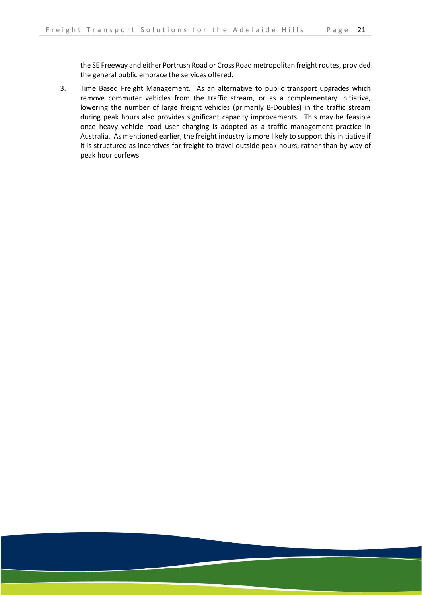the SE Freeway and either Portrush Road or Cross Road metropolitan freight routes, provided the general public embrace the services offered.

3. Time Based Freight Management. As an alternative to public transport upgrades which remove commuter vehicles from the traffic stream, or as a complementary initiative, lowering the number of large freight vehicles (primarily B-Doubles) in the traffic stream during peak hours also provides significant capacity improvements. This may be feasible once heavy vehicle road user charging is adopted as a traffic management practice in Australia. As mentioned earlier, the freight industry is more likely to support this initiative if it is structured as incentives for freight to travel outside peak hours, rather than by way of peak hour curfews.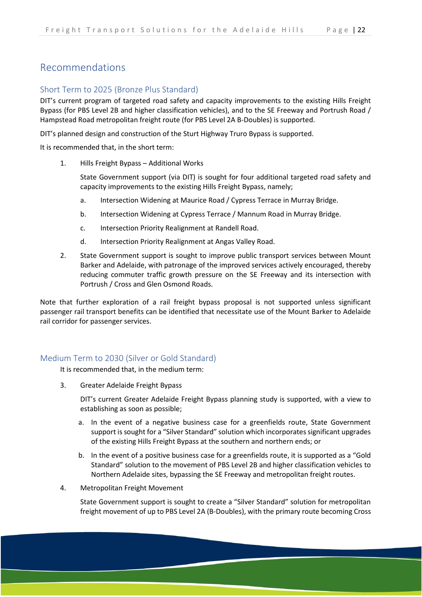## <span id="page-23-0"></span>Recommendations

#### <span id="page-23-1"></span>Short Term to 2025 (Bronze Plus Standard)

DIT's current program of targeted road safety and capacity improvements to the existing Hills Freight Bypass (for PBS Level 2B and higher classification vehicles), and to the SE Freeway and Portrush Road / Hampstead Road metropolitan freight route (for PBS Level 2A B-Doubles) is supported.

DIT's planned design and construction of the Sturt Highway Truro Bypass is supported.

It is recommended that, in the short term:

1. Hills Freight Bypass – Additional Works

State Government support (via DIT) is sought for four additional targeted road safety and capacity improvements to the existing Hills Freight Bypass, namely;

- a. Intersection Widening at Maurice Road / Cypress Terrace in Murray Bridge.
- b. Intersection Widening at Cypress Terrace / Mannum Road in Murray Bridge.
- c. Intersection Priority Realignment at Randell Road.
- d. Intersection Priority Realignment at Angas Valley Road.
- 2. State Government support is sought to improve public transport services between Mount Barker and Adelaide, with patronage of the improved services actively encouraged, thereby reducing commuter traffic growth pressure on the SE Freeway and its intersection with Portrush / Cross and Glen Osmond Roads.

Note that further exploration of a rail freight bypass proposal is not supported unless significant passenger rail transport benefits can be identified that necessitate use of the Mount Barker to Adelaide rail corridor for passenger services.

#### <span id="page-23-2"></span>Medium Term to 2030 (Silver or Gold Standard)

It is recommended that, in the medium term:

3. Greater Adelaide Freight Bypass

DIT's current Greater Adelaide Freight Bypass planning study is supported, with a view to establishing as soon as possible;

- a. In the event of a negative business case for a greenfields route, State Government support is sought for a "Silver Standard" solution which incorporates significant upgrades of the existing Hills Freight Bypass at the southern and northern ends; or
- b. In the event of a positive business case for a greenfields route, it is supported as a "Gold Standard" solution to the movement of PBS Level 2B and higher classification vehicles to Northern Adelaide sites, bypassing the SE Freeway and metropolitan freight routes.
- 4. Metropolitan Freight Movement

State Government support is sought to create a "Silver Standard" solution for metropolitan freight movement of up to PBS Level 2A (B-Doubles), with the primary route becoming Cross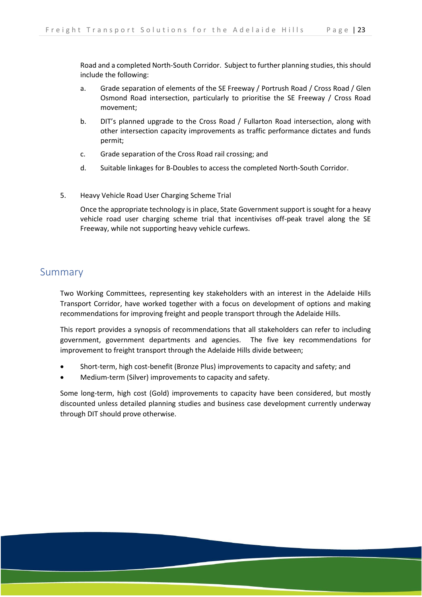Road and a completed North-South Corridor. Subject to further planning studies, this should include the following:

- a. Grade separation of elements of the SE Freeway / Portrush Road / Cross Road / Glen Osmond Road intersection, particularly to prioritise the SE Freeway / Cross Road movement;
- b. DIT's planned upgrade to the Cross Road / Fullarton Road intersection, along with other intersection capacity improvements as traffic performance dictates and funds permit;
- c. Grade separation of the Cross Road rail crossing; and
- d. Suitable linkages for B-Doubles to access the completed North-South Corridor.
- 5. Heavy Vehicle Road User Charging Scheme Trial

Once the appropriate technology is in place, State Government support is sought for a heavy vehicle road user charging scheme trial that incentivises off-peak travel along the SE Freeway, while not supporting heavy vehicle curfews.

### <span id="page-24-0"></span>Summary

Two Working Committees, representing key stakeholders with an interest in the Adelaide Hills Transport Corridor, have worked together with a focus on development of options and making recommendations for improving freight and people transport through the Adelaide Hills.

This report provides a synopsis of recommendations that all stakeholders can refer to including government, government departments and agencies. The five key recommendations for improvement to freight transport through the Adelaide Hills divide between;

- Short-term, high cost-benefit (Bronze Plus) improvements to capacity and safety; and
- Medium-term (Silver) improvements to capacity and safety.

Some long-term, high cost (Gold) improvements to capacity have been considered, but mostly discounted unless detailed planning studies and business case development currently underway through DIT should prove otherwise.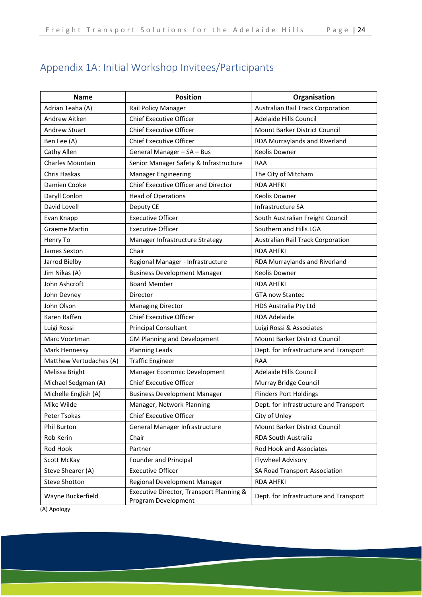## <span id="page-25-0"></span>Appendix 1A: Initial Workshop Invitees/Participants

| <b>Name</b>             | <b>Position</b>                                                 | Organisation                           |
|-------------------------|-----------------------------------------------------------------|----------------------------------------|
| Adrian Teaha (A)        | Rail Policy Manager                                             | Australian Rail Track Corporation      |
| Andrew Aitken           | <b>Chief Executive Officer</b>                                  | Adelaide Hills Council                 |
| <b>Andrew Stuart</b>    | <b>Chief Executive Officer</b>                                  | Mount Barker District Council          |
| Ben Fee (A)             | <b>Chief Executive Officer</b>                                  | RDA Murraylands and Riverland          |
| Cathy Allen             | General Manager - SA - Bus                                      | Keolis Downer                          |
| Charles Mountain        | Senior Manager Safety & Infrastructure                          | <b>RAA</b>                             |
| Chris Haskas            | <b>Manager Engineering</b>                                      | The City of Mitcham                    |
| Damien Cooke            | Chief Executive Officer and Director                            | <b>RDA AHFKI</b>                       |
| Daryll Conlon           | <b>Head of Operations</b>                                       | <b>Keolis Downer</b>                   |
| David Lovell            | Deputy CE                                                       | Infrastructure SA                      |
| Evan Knapp              | <b>Executive Officer</b>                                        | South Australian Freight Council       |
| <b>Graeme Martin</b>    | <b>Executive Officer</b>                                        | Southern and Hills LGA                 |
| Henry To                | Manager Infrastructure Strategy                                 | Australian Rail Track Corporation      |
| James Sexton            | Chair                                                           | <b>RDA AHFKI</b>                       |
| Jarrod Bielby           | Regional Manager - Infrastructure                               | RDA Murraylands and Riverland          |
| Jim Nikas (A)           | <b>Business Development Manager</b>                             | <b>Keolis Downer</b>                   |
| John Ashcroft           | <b>Board Member</b>                                             | <b>RDA AHFKI</b>                       |
| John Devney             | Director                                                        | <b>GTA now Stantec</b>                 |
| John Olson              | <b>Managing Director</b>                                        | HDS Australia Pty Ltd                  |
| Karen Raffen            | <b>Chief Executive Officer</b>                                  | <b>RDA Adelaide</b>                    |
| Luigi Rossi             | <b>Principal Consultant</b>                                     | Luigi Rossi & Associates               |
| Marc Voortman           | <b>GM Planning and Development</b>                              | Mount Barker District Council          |
| Mark Hennessy           | <b>Planning Leads</b>                                           | Dept. for Infrastructure and Transport |
| Matthew Vertudaches (A) | <b>Traffic Engineer</b>                                         | <b>RAA</b>                             |
| Melissa Bright          | Manager Economic Development                                    | Adelaide Hills Council                 |
| Michael Sedgman (A)     | <b>Chief Executive Officer</b>                                  | Murray Bridge Council                  |
| Michelle English (A)    | <b>Business Development Manager</b>                             | <b>Flinders Port Holdings</b>          |
| Mike Wilde              | Manager, Network Planning                                       | Dept. for Infrastructure and Transport |
| Peter Tsokas            | <b>Chief Executive Officer</b>                                  | City of Unley                          |
| <b>Phil Burton</b>      | General Manager Infrastructure                                  | Mount Barker District Council          |
| Rob Kerin               | Chair                                                           | <b>RDA South Australia</b>             |
| Rod Hook                | Partner                                                         | Rod Hook and Associates                |
| Scott McKay             | Founder and Principal                                           | <b>Flywheel Advisory</b>               |
| Steve Shearer (A)       | <b>Executive Officer</b>                                        | <b>SA Road Transport Association</b>   |
| <b>Steve Shotton</b>    | Regional Development Manager                                    | <b>RDA AHFKI</b>                       |
| Wayne Buckerfield       | Executive Director, Transport Planning &<br>Program Development | Dept. for Infrastructure and Transport |

(A) Apology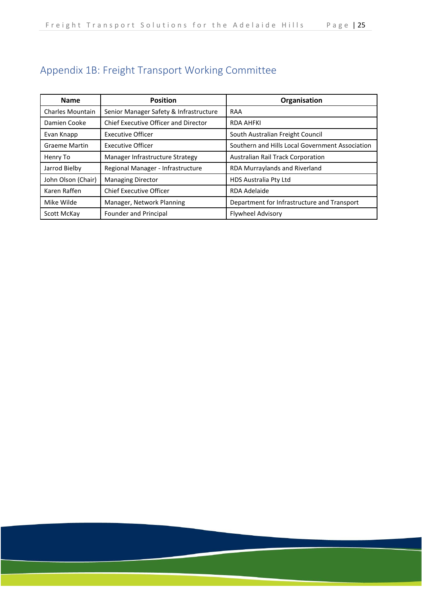## <span id="page-26-0"></span>Appendix 1B: Freight Transport Working Committee

| <b>Name</b>             | <b>Position</b>                             | Organisation                                    |
|-------------------------|---------------------------------------------|-------------------------------------------------|
| <b>Charles Mountain</b> | Senior Manager Safety & Infrastructure      | <b>RAA</b>                                      |
| Damien Cooke            | <b>Chief Executive Officer and Director</b> | <b>RDA AHFKI</b>                                |
| Evan Knapp              | <b>Executive Officer</b>                    | South Australian Freight Council                |
| <b>Graeme Martin</b>    | <b>Executive Officer</b>                    | Southern and Hills Local Government Association |
| Henry To                | Manager Infrastructure Strategy             | <b>Australian Rail Track Corporation</b>        |
| Jarrod Bielby           | Regional Manager - Infrastructure           | RDA Murraylands and Riverland                   |
| John Olson (Chair)      | <b>Managing Director</b>                    | HDS Australia Pty Ltd                           |
| Karen Raffen            | <b>Chief Executive Officer</b>              | RDA Adelaide                                    |
| Mike Wilde              | Manager, Network Planning                   | Department for Infrastructure and Transport     |
| Scott McKay             | Founder and Principal                       | <b>Flywheel Advisory</b>                        |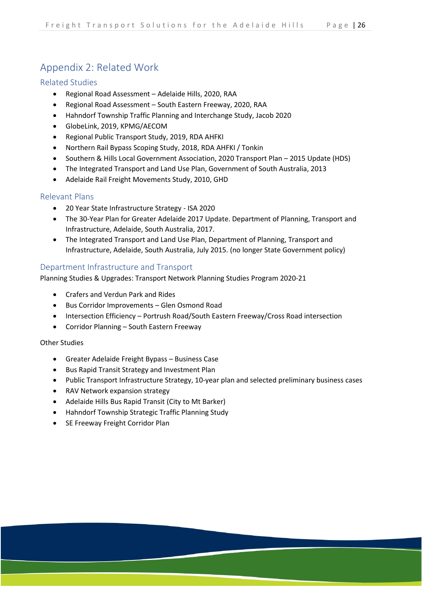## <span id="page-27-0"></span>Appendix 2: Related Work

#### <span id="page-27-1"></span>Related Studies

- Regional Road Assessment Adelaide Hills, 2020, RAA
- Regional Road Assessment South Eastern Freeway, 2020, RAA
- Hahndorf Township Traffic Planning and Interchange Study, Jacob 2020
- GlobeLink, 2019, KPMG/AECOM
- Regional Public Transport Study, 2019, RDA AHFKI
- Northern Rail Bypass Scoping Study, 2018, RDA AHFKI / Tonkin
- Southern & Hills Local Government Association, 2020 Transport Plan 2015 Update (HDS)
- The Integrated Transport and Land Use Plan, Government of South Australia, 2013
- Adelaide Rail Freight Movements Study, 2010, GHD

#### <span id="page-27-2"></span>Relevant Plans

- 20 Year State Infrastructure Strategy ISA 2020
- The 30-Year Plan for Greater Adelaide 2017 Update. Department of Planning, Transport and Infrastructure, Adelaide, South Australia, 2017.
- The Integrated Transport and Land Use Plan, Department of Planning, Transport and Infrastructure, Adelaide, South Australia, July 2015. (no longer State Government policy)

#### <span id="page-27-3"></span>Department Infrastructure and Transport

Planning Studies & Upgrades: Transport Network Planning Studies Program 2020-21

- Crafers and Verdun Park and Rides
- Bus Corridor Improvements Glen Osmond Road
- Intersection Efficiency Portrush Road/South Eastern Freeway/Cross Road intersection
- Corridor Planning South Eastern Freeway

#### Other Studies

- Greater Adelaide Freight Bypass Business Case
- Bus Rapid Transit Strategy and Investment Plan
- Public Transport Infrastructure Strategy, 10-year plan and selected preliminary business cases
- RAV Network expansion strategy
- Adelaide Hills Bus Rapid Transit (City to Mt Barker)
- Hahndorf Township Strategic Traffic Planning Study
- SE Freeway Freight Corridor Plan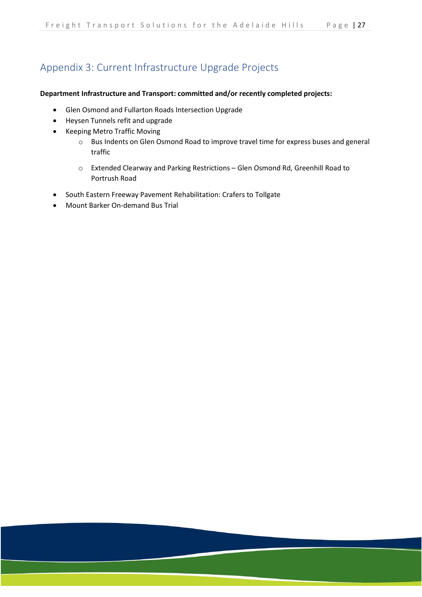## <span id="page-28-0"></span>Appendix 3: Current Infrastructure Upgrade Projects

#### **Department Infrastructure and Transport: committed and/or recently completed projects:**

- Glen Osmond and Fullarton Roads Intersection Upgrade
- Heysen Tunnels refit and upgrade
- [Keeping Metro Traffic Moving](https://dit.sa.gov.au/__data/assets/pdf_file/0018/542160/Keep_Metro_Traffic_Moving_May_2018.pdf)
	- o Bus Indents on Glen Osmond Road to improve travel time for express buses and general traffic
	- o Extended Clearway and Parking Restrictions Glen Osmond Rd, Greenhill Road to Portrush Road
- South Eastern Freeway Pavement Rehabilitation: Crafers to Tollgate
- Mount Barker On-demand Bus Trial